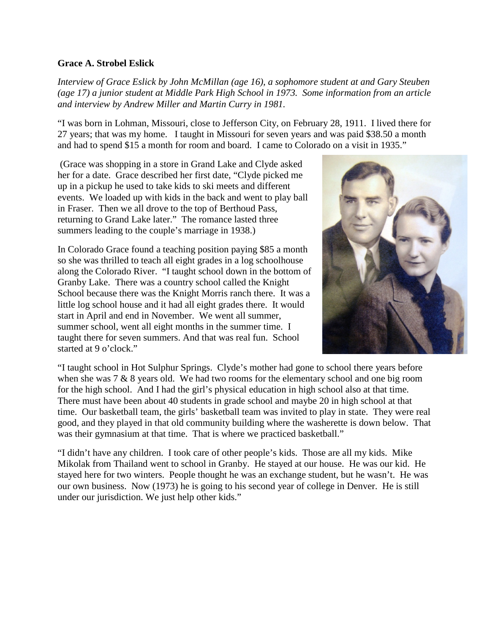## **Grace A. Strobel Eslick**

*Interview of Grace Eslick by John McMillan (age 16), a sophomore student at and Gary Steuben (age 17) a junior student at Middle Park High School in 1973. Some information from an article and interview by Andrew Miller and Martin Curry in 1981.*

"I was born in Lohman, Missouri, close to Jefferson City, on February 28, 1911. I lived there for 27 years; that was my home. I taught in Missouri for seven years and was paid \$38.50 a month and had to spend \$15 a month for room and board. I came to Colorado on a visit in 1935."

(Grace was shopping in a store in Grand Lake and Clyde asked her for a date. Grace described her first date, "Clyde picked me up in a pickup he used to take kids to ski meets and different events. We loaded up with kids in the back and went to play ball in Fraser. Then we all drove to the top of Berthoud Pass, returning to Grand Lake later." The romance lasted three summers leading to the couple's marriage in 1938.)

In Colorado Grace found a teaching position paying \$85 a month so she was thrilled to teach all eight grades in a log schoolhouse along the Colorado River. "I taught school down in the bottom of Granby Lake. There was a country school called the Knight School because there was the Knight Morris ranch there. It was a little log school house and it had all eight grades there. It would start in April and end in November. We went all summer, summer school, went all eight months in the summer time. I taught there for seven summers. And that was real fun. School started at 9 o'clock."



"I taught school in Hot Sulphur Springs. Clyde's mother had gone to school there years before when she was 7 & 8 years old. We had two rooms for the elementary school and one big room for the high school. And I had the girl's physical education in high school also at that time. There must have been about 40 students in grade school and maybe 20 in high school at that time. Our basketball team, the girls' basketball team was invited to play in state. They were real good, and they played in that old community building where the washerette is down below. That was their gymnasium at that time. That is where we practiced basketball."

"I didn't have any children. I took care of other people's kids. Those are all my kids. Mike Mikolak from Thailand went to school in Granby. He stayed at our house. He was our kid. He stayed here for two winters. People thought he was an exchange student, but he wasn't. He was our own business. Now (1973) he is going to his second year of college in Denver. He is still under our jurisdiction. We just help other kids."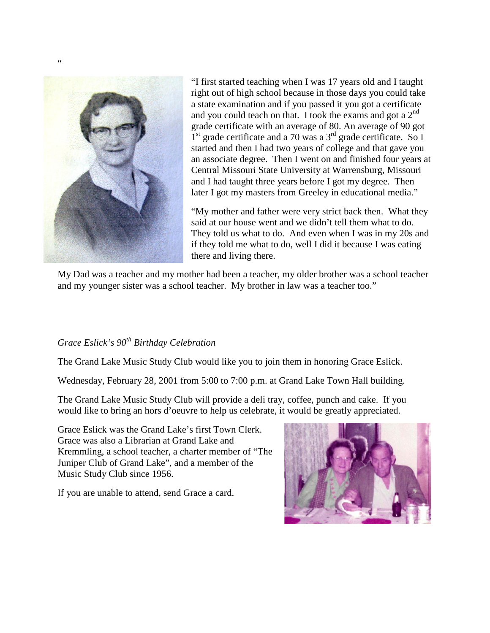

 $\ddot{\phantom{0}}$ 

"I first started teaching when I was 17 years old and I taught right out of high school because in those days you could take a state examination and if you passed it you got a certificate and you could teach on that. I took the exams and got a  $2<sup>nd</sup>$ grade certificate with an average of 80. An average of 90 got  $1<sup>st</sup>$  grade certificate and a 70 was a 3<sup>rd</sup> grade certificate. So I started and then I had two years of college and that gave you an associate degree. Then I went on and finished four years at Central Missouri State University at Warrensburg, Missouri and I had taught three years before I got my degree. Then later I got my masters from Greeley in educational media."

"My mother and father were very strict back then. What they said at our house went and we didn't tell them what to do. They told us what to do. And even when I was in my 20s and if they told me what to do, well I did it because I was eating there and living there.

My Dad was a teacher and my mother had been a teacher, my older brother was a school teacher and my younger sister was a school teacher. My brother in law was a teacher too."

## *Grace Eslick's 90th Birthday Celebration*

The Grand Lake Music Study Club would like you to join them in honoring Grace Eslick.

Wednesday, February 28, 2001 from 5:00 to 7:00 p.m. at Grand Lake Town Hall building.

The Grand Lake Music Study Club will provide a deli tray, coffee, punch and cake. If you would like to bring an hors d'oeuvre to help us celebrate, it would be greatly appreciated.

Grace Eslick was the Grand Lake's first Town Clerk. Grace was also a Librarian at Grand Lake and Kremmling, a school teacher, a charter member of "The Juniper Club of Grand Lake", and a member of the Music Study Club since 1956.

If you are unable to attend, send Grace a card.

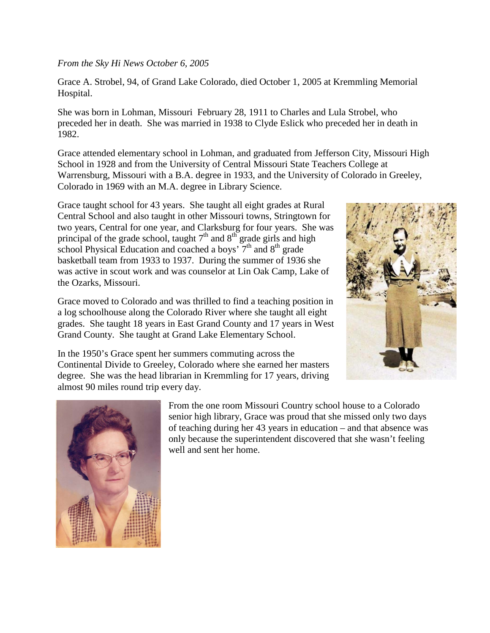## *From the Sky Hi News October 6, 2005*

Grace A. Strobel, 94, of Grand Lake Colorado, died October 1, 2005 at Kremmling Memorial Hospital.

She was born in Lohman, Missouri February 28, 1911 to Charles and Lula Strobel, who preceded her in death. She was married in 1938 to Clyde Eslick who preceded her in death in 1982.

Grace attended elementary school in Lohman, and graduated from Jefferson City, Missouri High School in 1928 and from the University of Central Missouri State Teachers College at Warrensburg, Missouri with a B.A. degree in 1933, and the University of Colorado in Greeley, Colorado in 1969 with an M.A. degree in Library Science.

Grace taught school for 43 years. She taught all eight grades at Rural Central School and also taught in other Missouri towns, Stringtown for two years, Central for one year, and Clarksburg for four years. She was principal of the grade school, taught  $7<sup>th</sup>$  and  $8<sup>th</sup>$  grade girls and high school Physical Education and coached a boys'  $7<sup>th</sup>$  and  $8<sup>th</sup>$  grade basketball team from 1933 to 1937. During the summer of 1936 she was active in scout work and was counselor at Lin Oak Camp, Lake of the Ozarks, Missouri.

Grace moved to Colorado and was thrilled to find a teaching position in a log schoolhouse along the Colorado River where she taught all eight grades. She taught 18 years in East Grand County and 17 years in West Grand County. She taught at Grand Lake Elementary School.



In the 1950's Grace spent her summers commuting across the Continental Divide to Greeley, Colorado where she earned her masters degree. She was the head librarian in Kremmling for 17 years, driving almost 90 miles round trip every day.



From the one room Missouri Country school house to a Colorado senior high library, Grace was proud that she missed only two days of teaching during her 43 years in education – and that absence was only because the superintendent discovered that she wasn't feeling well and sent her home.